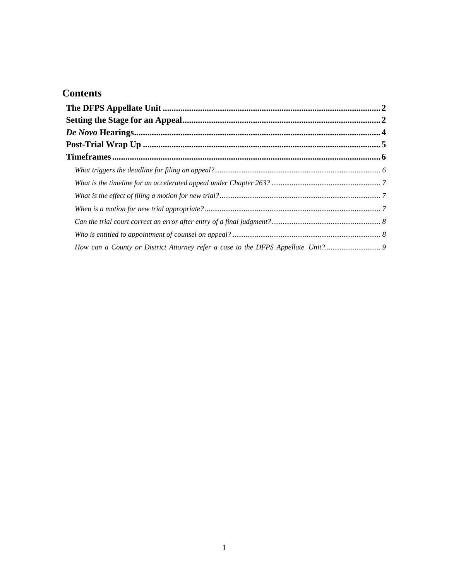## **Contents**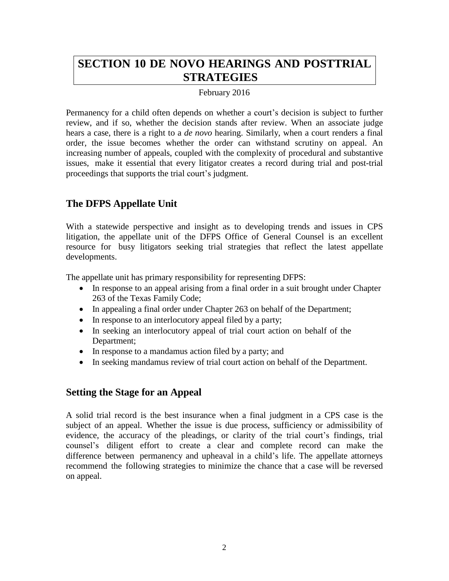# **SECTION 10 DE NOVO HEARINGS AND POSTTRIAL STRATEGIES**

### February 2016

Permanency for a child often depends on whether a court's decision is subject to further review, and if so, whether the decision stands after review. When an associate judge hears a case, there is a right to a *de novo* hearing. Similarly, when a court renders a final order, the issue becomes whether the order can withstand scrutiny on appeal. An increasing number of appeals, coupled with the complexity of procedural and substantive issues, make it essential that every litigator creates a record during trial and post-trial proceedings that supports the trial court's judgment.

## <span id="page-1-0"></span>**The DFPS Appellate Unit**

With a statewide perspective and insight as to developing trends and issues in CPS litigation, the appellate unit of the DFPS Office of General Counsel is an excellent resource for busy litigators seeking trial strategies that reflect the latest appellate developments.

The appellate unit has primary responsibility for representing DFPS:

- In response to an appeal arising from a final order in a suit brought under Chapter 263 of the Texas Family Code;
- In appealing a final order under Chapter 263 on behalf of the Department;
- In response to an interlocutory appeal filed by a party;
- In seeking an interlocutory appeal of trial court action on behalf of the Department;
- In response to a mandamus action filed by a party; and
- In seeking mandamus review of trial court action on behalf of the Department.

## <span id="page-1-1"></span>**Setting the Stage for an Appeal**

A solid trial record is the best insurance when a final judgment in a CPS case is the subject of an appeal. Whether the issue is due process, sufficiency or admissibility of evidence, the accuracy of the pleadings, or clarity of the trial court's findings, trial counsel's diligent effort to create a clear and complete record can make the difference between permanency and upheaval in a child's life. The appellate attorneys recommend the following strategies to minimize the chance that a case will be reversed on appeal.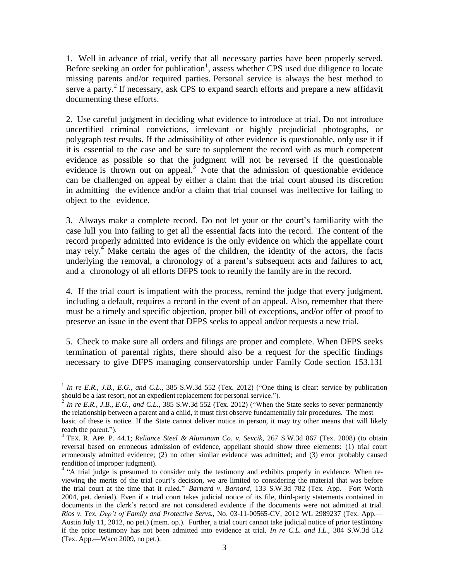1. Well in advance of trial, verify that all necessary parties have been properly served. Before seeking an order for publication<sup>1</sup>, assess whether CPS used due diligence to locate missing parents and/or required parties. Personal service is always the best method to serve a party.<sup>2</sup> If necessary, ask CPS to expand search efforts and prepare a new affidavit documenting these efforts.

2. Use careful judgment in deciding what evidence to introduce at trial. Do not introduce uncertified criminal convictions, irrelevant or highly prejudicial photographs, or polygraph test results. If the admissibility of other evidence is questionable, only use it if it is essential to the case and be sure to supplement the record with as much competent evidence as possible so that the judgment will not be reversed if the questionable evidence is thrown out on appeal.<sup>3</sup> Note that the admission of questionable evidence can be challenged on appeal by either a claim that the trial court abused its discretion in admitting the evidence and/or a claim that trial counsel was ineffective for failing to object to the evidence.

3. Always make a complete record. Do not let your or the court's familiarity with the case lull you into failing to get all the essential facts into the record. The content of the record properly admitted into evidence is the only evidence on which the appellate court may rely.<sup>4</sup> Make certain the ages of the children, the identity of the actors, the facts underlying the removal, a chronology of a parent's subsequent acts and failures to act, and a chronology of all efforts DFPS took to reunify the family are in the record.

4. If the trial court is impatient with the process, remind the judge that every judgment, including a default, requires a record in the event of an appeal. Also, remember that there must be a timely and specific objection, proper bill of exceptions, and/or offer of proof to preserve an issue in the event that DFPS seeks to appeal and/or requests a new trial.

5. Check to make sure all orders and filings are proper and complete. When DFPS seeks termination of parental rights, there should also be a request for the specific findings necessary to give DFPS managing conservatorship under Family Code section 153.131

 $\overline{\phantom{a}}$ 

<sup>1</sup> *In re E.R., J.B., E.G., and C.L.*, 385 S.W.3d 552 (Tex. 2012) ("One thing is clear: service by publication should be a last resort, not an expedient replacement for personal service.").

<sup>2</sup> *In re E.R., J.B., E.G., and C.L.*, 385 S.W.3d 552 (Tex. 2012) ("When the State seeks to sever permanently the relationship between a parent and a child, it must first observe fundamentally fair procedures. The most basic of these is notice. If the State cannot deliver notice in person, it may try other means that will likely reach the parent.").

<sup>3</sup> TEX. R. APP. P. 44.1; *Reliance Steel & Aluminum Co. v. Sevcik*, 267 S.W.3d 867 (Tex. 2008) (to obtain reversal based on erroneous admission of evidence, appellant should show three elements: (1) trial court erroneously admitted evidence; (2) no other similar evidence was admitted; and (3) error probably caused rendition of improper judgment).

<sup>&</sup>lt;sup>4</sup> "A trial judge is presumed to consider only the testimony and exhibits properly in evidence. When reviewing the merits of the trial court's decision, we are limited to considering the material that was before the trial court at the time that it ruled." *Barnard v. Barnard*, 133 S.W.3d 782 (Tex. App.—Fort Worth 2004, pet. denied). Even if a trial court takes judicial notice of its file, third-party statements contained in documents in the clerk's record are not considered evidence if the documents were not admitted at trial. *Rios v. Tex. Dep't of Family and Protective Servs.*, No. 03-11-00565-CV, 2012 WL 2989237 (Tex. App.— Austin July 11, 2012, no pet.) (mem. op.). Further, a trial court cannot take judicial notice of prior testimony if the prior testimony has not been admitted into evidence at trial. *In re C.L. and I.L.*, 304 S.W.3d 512 (Tex. App.—Waco 2009, no pet.).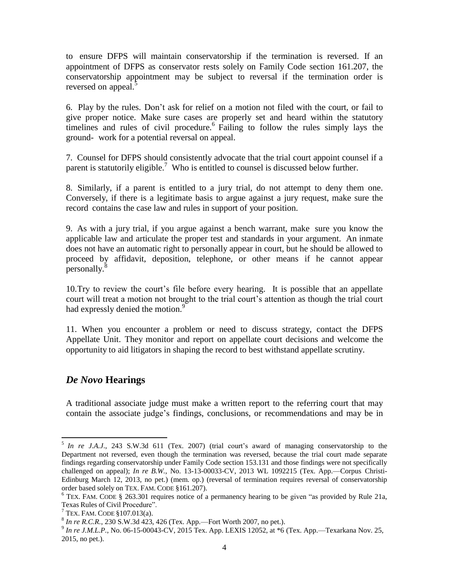to ensure DFPS will maintain conservatorship if the termination is reversed. If an appointment of DFPS as conservator rests solely on Family Code section 161.207, the conservatorship appointment may be subject to reversal if the termination order is reversed on appeal.<sup>5</sup>

6. Play by the rules. Don't ask for relief on a motion not filed with the court, or fail to give proper notice. Make sure cases are properly set and heard within the statutory timelines and rules of civil procedure.  $6$  Failing to follow the rules simply lays the ground- work for a potential reversal on appeal.

7. Counsel for DFPS should consistently advocate that the trial court appoint counsel if a parent is statutorily eligible.<sup>7</sup> Who is entitled to counsel is discussed below further.

8. Similarly, if a parent is entitled to a jury trial, do not attempt to deny them one. Conversely, if there is a legitimate basis to argue against a jury request, make sure the record contains the case law and rules in support of your position.

9. As with a jury trial, if you argue against a bench warrant, make sure you know the applicable law and articulate the proper test and standards in your argument. An inmate does not have an automatic right to personally appear in court, but he should be allowed to proceed by affidavit, deposition, telephone, or other means if he cannot appear personally.<sup>8</sup>

10.Try to review the court's file before every hearing. It is possible that an appellate court will treat a motion not brought to the trial court's attention as though the trial court had expressly denied the motion.<sup>9</sup>

11. When you encounter a problem or need to discuss strategy, contact the DFPS Appellate Unit. They monitor and report on appellate court decisions and welcome the opportunity to aid litigators in shaping the record to best withstand appellate scrutiny.

## <span id="page-3-0"></span>*De Novo* **Hearings**

 $\overline{\phantom{a}}$ 

A traditional associate judge must make a written report to the referring court that may contain the associate judge's findings, conclusions, or recommendations and may be in

<sup>5</sup> *In re J.A.J*., 243 S.W.3d 611 (Tex. 2007) (trial court's award of managing conservatorship to the Department not reversed, even though the termination was reversed, because the trial court made separate findings regarding conservatorship under Family Code section 153.131 and those findings were not specifically challenged on appeal); *In re B.W.*, No. 13-13-00033-CV, 2013 WL 1092215 (Tex. App.—Corpus Christi-Edinburg March 12, 2013, no pet.) (mem. op.) (reversal of termination requires reversal of conservatorship order based solely on TEX. FAM. CODE §161.207).

<sup>6</sup> TEX. FAM. CODE § 263.301 requires notice of a permanency hearing to be given "as provided by Rule 21a, Texas Rules of Civil Procedure".

 $7$  TEX. FAM. CODE  $$107.013(a)$ .

 $8 \text{ In } re \text{ R.C.R., } 230 \text{ S.W.}3d\,423, 426 \text{ (Text. App.—Fort Worth 2007, no pet.)}.$ 

<sup>&</sup>lt;sup>9</sup> In re J.M.L.P., No. 06-15-00043-CV, 2015 Tex. App. LEXIS 12052, at \*6 (Tex. App.—Texarkana Nov. 25, 2015, no pet.).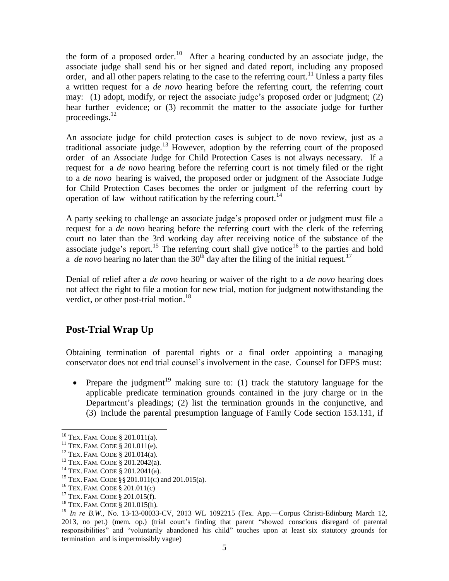the form of a proposed order.<sup>10</sup> After a hearing conducted by an associate judge, the associate judge shall send his or her signed and dated report, including any proposed order, and all other papers relating to the case to the referring court.<sup>11</sup> Unless a party files a written request for a *de novo* hearing before the referring court, the referring court may: (1) adopt, modify, or reject the associate judge's proposed order or judgment; (2) hear further evidence; or (3) recommit the matter to the associate judge for further proceedings. $^{12}$ 

An associate judge for child protection cases is subject to de novo review, just as a traditional associate judge.<sup>13</sup> However, adoption by the referring court of the proposed order of an Associate Judge for Child Protection Cases is not always necessary. If a request for a *de novo* hearing before the referring court is not timely filed or the right to a *de novo* hearing is waived, the proposed order or judgment of the Associate Judge for Child Protection Cases becomes the order or judgment of the referring court by operation of law without ratification by the referring court.<sup>14</sup>

A party seeking to challenge an associate judge's proposed order or judgment must file a request for a *de novo* hearing before the referring court with the clerk of the referring court no later than the 3rd working day after receiving notice of the substance of the associate judge's report.<sup>15</sup> The referring court shall give notice<sup>16</sup> to the parties and hold a *de novo* hearing no later than the  $30<sup>th</sup>$  day after the filing of the initial request.<sup>17</sup>

Denial of relief after a *de novo* hearing or waiver of the right to a *de novo* hearing does not affect the right to file a motion for new trial, motion for judgment notwithstanding the verdict, or other post-trial motion.<sup>18</sup>

## <span id="page-4-0"></span>**Post-Trial Wrap Up**

Obtaining termination of parental rights or a final order appointing a managing conservator does not end trial counsel's involvement in the case. Counsel for DFPS must:

• Prepare the judgment<sup>19</sup> making sure to: (1) track the statutory language for the applicable predicate termination grounds contained in the jury charge or in the Department's pleadings; (2) list the termination grounds in the conjunctive, and (3) include the parental presumption language of Family Code section 153.131, if

 $\overline{\phantom{a}}$  $10$  TEX. FAM. CODE § 201.011(a).

<sup>&</sup>lt;sup>11</sup> TEX. FAM. CODE § 201.011(e).

<sup>12</sup> TEX. FAM. CODE § 201.014(a).

<sup>13</sup> TEX. FAM. CODE § 201.2042(a).

<sup>&</sup>lt;sup>14</sup> TEX. FAM. CODE  $\S 201.2041(a)$ .

<sup>15</sup> TEX. FAM. CODE §§ 201.011(C) and 201.015(a).

<sup>16</sup> TEX. FAM. CODE § 201.011(c)

<sup>17</sup> TEX. FAM. CODE § 201.015(f).

<sup>18</sup> TEX. FAM. CODE § 201.015(h).

<sup>19</sup> *In re B.W*., No. 13-13-00033-CV, 2013 WL 1092215 (Tex. App.—Corpus Christi-Edinburg March 12, 2013, no pet.) (mem. op.) (trial court's finding that parent "showed conscious disregard of parental responsibilities" and "voluntarily abandoned his child" touches upon at least six statutory grounds for termination and is impermissibly vague)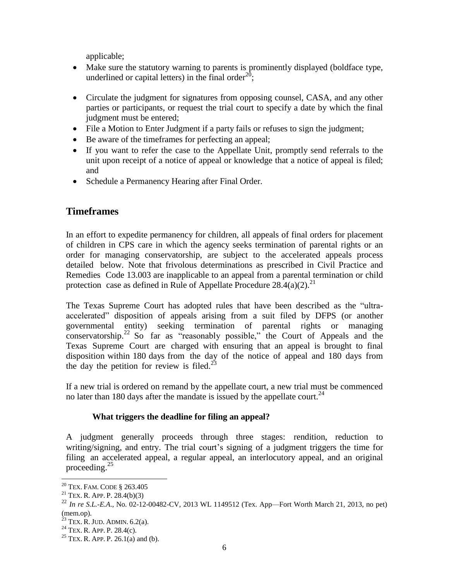applicable;

- Make sure the statutory warning to parents is prominently displayed (boldface type, underlined or capital letters) in the final order<sup>20</sup>;
- Circulate the judgment for signatures from opposing counsel, CASA, and any other parties or participants, or request the trial court to specify a date by which the final judgment must be entered;
- File a Motion to Enter Judgment if a party fails or refuses to sign the judgment;
- Be aware of the timeframes for perfecting an appeal;
- If you want to refer the case to the Appellate Unit, promptly send referrals to the unit upon receipt of a notice of appeal or knowledge that a notice of appeal is filed; and
- Schedule a Permanency Hearing after Final Order.

## <span id="page-5-0"></span>**Timeframes**

In an effort to expedite permanency for children, all appeals of final orders for placement of children in CPS care in which the agency seeks termination of parental rights or an order for managing conservatorship, are subject to the accelerated appeals process detailed below. Note that frivolous determinations as prescribed in Civil Practice and Remedies Code 13.003 are inapplicable to an appeal from a parental termination or child protection case as defined in Rule of Appellate Procedure  $28.4(a)(2)$ <sup>21</sup>

The Texas Supreme Court has adopted rules that have been described as the "ultraaccelerated" disposition of appeals arising from a suit filed by DFPS (or another governmental entity) seeking termination of parental rights or managing  $\overline{\text{conservation}}^{22}$  So far as "reasonably possible," the Court of Appeals and the Texas Supreme Court are charged with ensuring that an appeal is brought to final disposition within 180 days from the day of the notice of appeal and 180 days from the day the petition for review is filed.<sup>23</sup>

If a new trial is ordered on remand by the appellate court, a new trial must be commenced no later than 180 days after the mandate is issued by the appellate court.<sup>24</sup>

### **What triggers the deadline for filing an appeal?**

<span id="page-5-1"></span>A judgment generally proceeds through three stages: rendition, reduction to writing/signing, and entry. The trial court's signing of a judgment triggers the time for filing an accelerated appeal, a regular appeal, an interlocutory appeal, and an original proceeding.<sup>25</sup>

 $\overline{\phantom{a}}$ 

<sup>20</sup> TEX. FAM. CODE § 263.405

 $21$  TEX. R. APP. P. 28.4(b)(3)

<sup>22</sup> *In re S.L.-E.A*., No. 02-12-00482-CV, 2013 WL 1149512 (Tex. App—Fort Worth March 21, 2013, no pet) (mem.op).

 $^{23}$  TEX. R. JUD. ADMIN. 6.2(a).

<sup>&</sup>lt;sup>24</sup> TEX. R. APP. P. 28.4(c).

<sup>&</sup>lt;sup>25</sup> TEX. R. APP. P. 26.1(a) and (b).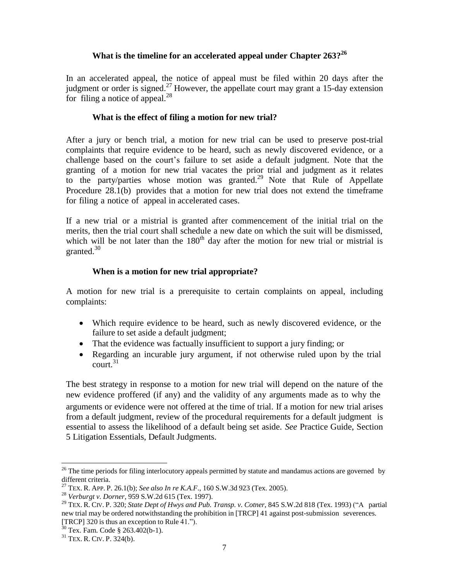### **What is the timeline for an accelerated appeal under Chapter 263?<sup>26</sup>**

<span id="page-6-1"></span><span id="page-6-0"></span>In an accelerated appeal, the notice of appeal must be filed within 20 days after the judgment or order is signed.<sup>27</sup> However, the appellate court may grant a 15-day extension for filing a notice of appeal. $^{28}$ 

#### **What is the effect of filing a motion for new trial?**

After a jury or bench trial, a motion for new trial can be used to preserve post-trial complaints that require evidence to be heard, such as newly discovered evidence, or a challenge based on the court's failure to set aside a default judgment. Note that the granting of a motion for new trial vacates the prior trial and judgment as it relates to the party/parties whose motion was granted.<sup>29</sup> Note that Rule of Appellate Procedure 28.1(b) provides that a motion for new trial does not extend the timeframe for filing a notice of appeal in accelerated cases.

If a new trial or a mistrial is granted after commencement of the initial trial on the merits, then the trial court shall schedule a new date on which the suit will be dismissed, which will be not later than the  $180<sup>th</sup>$  day after the motion for new trial or mistrial is granted. $30$ 

#### **When is a motion for new trial appropriate?**

<span id="page-6-2"></span>A motion for new trial is a prerequisite to certain complaints on appeal, including complaints:

- Which require evidence to be heard, such as newly discovered evidence, or the failure to set aside a default judgment;
- That the evidence was factually insufficient to support a jury finding; or
- Regarding an incurable jury argument, if not otherwise ruled upon by the trial  $\text{court.}^{31}$

The best strategy in response to a motion for new trial will depend on the nature of the new evidence proffered (if any) and the validity of any arguments made as to why the arguments or evidence were not offered at the time of trial. If a motion for new trial arises from a default judgment, review of the procedural requirements for a default judgment is essential to assess the likelihood of a default being set aside. *See* Practice Guide, Section 5 Litigation Essentials, Default Judgments.

 $\overline{\phantom{a}}$ 

<sup>&</sup>lt;sup>26</sup> The time periods for filing interlocutory appeals permitted by statute and mandamus actions are governed by different criteria.

<sup>27</sup> TEX. R. APP. P. 26.1(b); *See also In re K.A.F*., 160 S.W.3d 923 (Tex. 2005).

<sup>28</sup> *Verburgt v. Dorner*, 959 S.W.2d 615 (Tex. 1997).

<sup>29</sup> TEX. R. CIV. P. 320; *State Dept of Hwys and Pub. Transp. v. Cotner*, 845 S.W.2d 818 (Tex. 1993) ("A partial new trial may be ordered notwithstanding the prohibition in [TRCP] 41 against post-submission severences. [TRCP] 320 is thus an exception to Rule 41.").

 $30$  Tex. Fam. Code § 263.402(b-1).

<sup>31</sup> TEX. R. CIV. P. 324(b).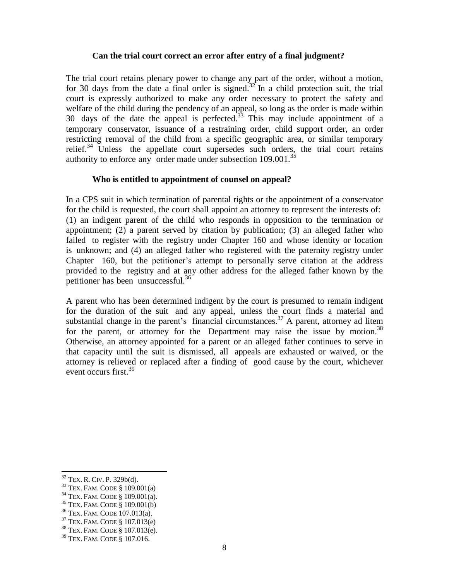### **Can the trial court correct an error after entry of a final judgment?**

<span id="page-7-0"></span>The trial court retains plenary power to change any part of the order, without a motion, for 30 days from the date a final order is signed.<sup>32</sup> In a child protection suit, the trial court is expressly authorized to make any order necessary to protect the safety and welfare of the child during the pendency of an appeal, so long as the order is made within 30 days of the date the appeal is perfected. $33$  This may include appointment of a temporary conservator, issuance of a restraining order, child support order, an order restricting removal of the child from a specific geographic area, or similar temporary relief.<sup>34</sup> Unless the appellate court supersedes such orders, the trial court retains authority to enforce any order made under subsection  $109.001$ .<sup>35</sup>

### **Who is entitled to appointment of counsel on appeal?**

<span id="page-7-1"></span>In a CPS suit in which termination of parental rights or the appointment of a conservator for the child is requested, the court shall appoint an attorney to represent the interests of: (1) an indigent parent of the child who responds in opposition to the termination or appointment; (2) a parent served by citation by publication; (3) an alleged father who failed to register with the registry under Chapter 160 and whose identity or location is unknown; and (4) an alleged father who registered with the paternity registry under Chapter 160, but the petitioner's attempt to personally serve citation at the address provided to the registry and at any other address for the alleged father known by the petitioner has been unsuccessful.<sup>36</sup>

A parent who has been determined indigent by the court is presumed to remain indigent for the duration of the suit and any appeal, unless the court finds a material and substantial change in the parent's financial circumstances.<sup>37</sup> A parent, attorney ad litem for the parent, or attorney for the Department may raise the issue by motion.<sup>38</sup> Otherwise, an attorney appointed for a parent or an alleged father continues to serve in that capacity until the suit is dismissed, all appeals are exhausted or waived, or the attorney is relieved or replaced after a finding of good cause by the court, whichever event occurs first.<sup>39</sup>

l

 $32$  TEX. R. CIV. P. 329b(d).

 $33$  TEX. FAM. CODE § 109.001(a)

<sup>34</sup> TEX. FAM. CODE § 109.001(a).

<sup>35</sup> TEX. FAM. CODE § 109.001(b)

<sup>36</sup> TEX. FAM. CODE 107.013(a).

<sup>37</sup> TEX. FAM. CODE § 107.013(e)

<sup>38</sup> TEX. FAM. CODE § 107.013(e).

<sup>39</sup> TEX. FAM. CODE § 107.016.